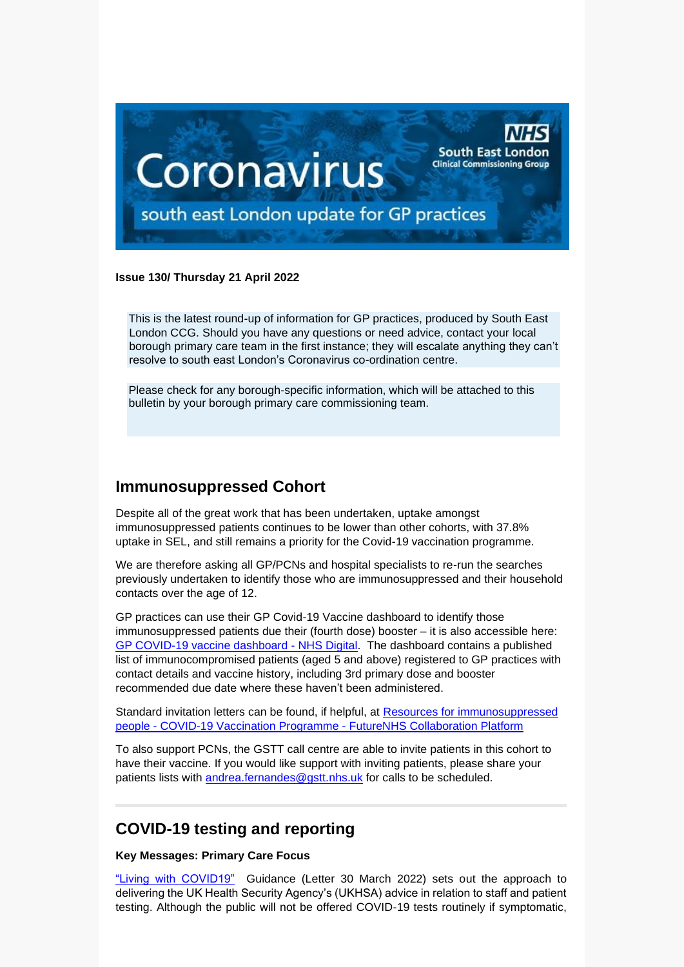

#### **Issue 130/ Thursday 21 April 2022**

This is the latest round-up of information for GP practices, produced by South East London CCG. Should you have any questions or need advice, contact your local borough primary care team in the first instance; they will escalate anything they can't resolve to south east London's Coronavirus co-ordination centre.

Please check for any borough-specific information, which will be attached to this bulletin by your borough primary care commissioning team.

### **Immunosuppressed Cohort**

Despite all of the great work that has been undertaken, uptake amongst immunosuppressed patients continues to be lower than other cohorts, with 37.8% uptake in SEL, and still remains a priority for the Covid-19 vaccination programme.

We are therefore asking all GP/PCNs and hospital specialists to re-run the searches previously undertaken to identify those who are immunosuppressed and their household contacts over the age of 12.

GP practices can use their GP Covid-19 Vaccine dashboard to identify those immunosuppressed patients due their (fourth dose) booster – it is also accessible here: [GP COVID-19 vaccine dashboard -](https://digital.nhs.uk/dashboards/gp-covid-19-vaccine-dashboard#immunocompromised-patient-list) NHS Digital. The dashboard contains a published list of immunocompromised patients (aged 5 and above) registered to GP practices with contact details and vaccine history, including 3rd primary dose and booster recommended due date where these haven't been administered.

Standard invitation letters can be found, if helpful, at [Resources for immunosuppressed](https://future.nhs.uk/CovidVaccinations/view?objectId=31859760)  people - [COVID-19 Vaccination Programme -](https://future.nhs.uk/CovidVaccinations/view?objectId=31859760) FutureNHS Collaboration Platform

To also support PCNs, the GSTT call centre are able to invite patients in this cohort to have their vaccine. If you would like support with inviting patients, please share your patients lists with [andrea.fernandes@gstt.nhs.uk](mailto:andrea.fernandes@gstt.nhs.uk) for calls to be scheduled.

### **COVID-19 testing and reporting**

### **Key Messages: Primary Care Focus**

["Living with COVID19"](https://selondonccg.nhs.uk/wp-content/uploads/2022/03/C1621_Living-with-COVID-19-testing-update-letter_300322.pdf) Guidance (Letter 30 March 2022) sets out the approach to delivering the UK Health Security Agency's (UKHSA) advice in relation to staff and patient testing. Although the public will not be offered COVID-19 tests routinely if symptomatic,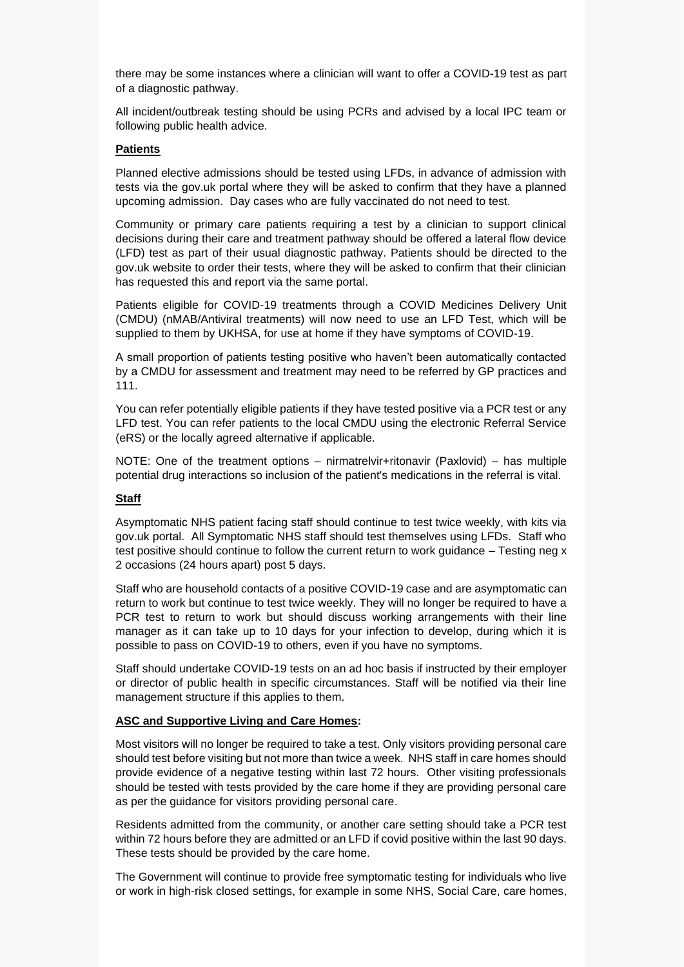there may be some instances where a clinician will want to offer a COVID-19 test as part of a diagnostic pathway.

All incident/outbreak testing should be using PCRs and advised by a local IPC team or following public health advice.

### **Patients**

Planned elective admissions should be tested using LFDs, in advance of admission with tests via the gov.uk portal where they will be asked to confirm that they have a planned upcoming admission. Day cases who are fully vaccinated do not need to test.

Community or primary care patients requiring a test by a clinician to support clinical decisions during their care and treatment pathway should be offered a lateral flow device (LFD) test as part of their usual diagnostic pathway. Patients should be directed to the gov.uk website to order their tests, where they will be asked to confirm that their clinician has requested this and report via the same portal.

Patients eligible for COVID-19 treatments through a COVID Medicines Delivery Unit (CMDU) (nMAB/Antiviral treatments) will now need to use an LFD Test, which will be supplied to them by UKHSA, for use at home if they have symptoms of COVID-19.

A small proportion of patients testing positive who haven't been automatically contacted by a CMDU for assessment and treatment may need to be referred by GP practices and 111.

You can refer potentially eligible patients if they have tested positive via a PCR test or any LFD test. You can refer patients to the local CMDU using the electronic Referral Service (eRS) or the locally agreed alternative if applicable.

NOTE: One of the treatment options – nirmatrelvir+ritonavir (Paxlovid) – has multiple potential drug interactions so inclusion of the patient's medications in the referral is vital.

#### **Staff**

Asymptomatic NHS patient facing staff should continue to test twice weekly, with kits via gov.uk portal. All Symptomatic NHS staff should test themselves using LFDs. Staff who test positive should continue to follow the current return to work guidance – Testing neg x 2 occasions (24 hours apart) post 5 days.

Staff who are household contacts of a positive COVID-19 case and are asymptomatic can return to work but continue to test twice weekly. They will no longer be required to have a PCR test to return to work but should discuss working arrangements with their line manager as it can take up to 10 days for your infection to develop, during which it is possible to pass on COVID-19 to others, even if you have no symptoms.

Staff should undertake COVID-19 tests on an ad hoc basis if instructed by their employer or director of public health in specific circumstances. Staff will be notified via their line management structure if this applies to them.

#### **ASC and Supportive Living and Care Homes:**

Most visitors will no longer be required to take a test. Only visitors providing personal care should test before visiting but not more than twice a week. NHS staff in care homes should provide evidence of a negative testing within last 72 hours. Other visiting professionals should be tested with tests provided by the care home if they are providing personal care as per the guidance for visitors providing personal care.

Residents admitted from the community, or another care setting should take a PCR test within 72 hours before they are admitted or an LFD if covid positive within the last 90 days. These tests should be provided by the care home.

The Government will continue to provide free symptomatic testing for individuals who live or work in high-risk closed settings, for example in some NHS, Social Care, care homes,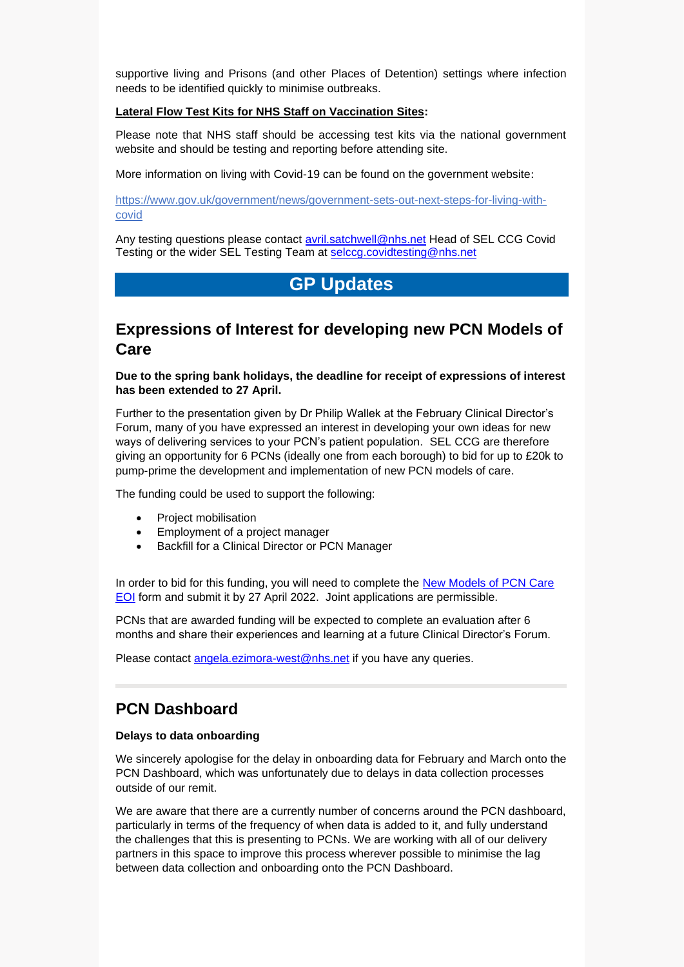supportive living and Prisons (and other Places of Detention) settings where infection needs to be identified quickly to minimise outbreaks.

#### **Lateral Flow Test Kits for NHS Staff on Vaccination Sites:**

Please note that NHS staff should be accessing test kits via the national government website and should be testing and reporting before attending site.

More information on living with Covid-19 can be found on the government website:

[https://www.gov.uk/government/news/government-sets-out-next-steps-for-living-with](https://www.gov.uk/government/news/government-sets-out-next-steps-for-living-with-covid)[covid](https://www.gov.uk/government/news/government-sets-out-next-steps-for-living-with-covid) 

Any testing questions please contact **avril.satchwell@nhs.net Head of SEL CCG Covid** Testing or the wider SEL Testing Team at [selccg.covidtesting@nhs.net](mailto:selccg.covidtesting@nhs.net)

## **GP Updates**

### **Expressions of Interest for developing new PCN Models of Care**

**Due to the spring bank holidays, the deadline for receipt of expressions of interest has been extended to 27 April.**

Further to the presentation given by Dr Philip Wallek at the February Clinical Director's Forum, many of you have expressed an interest in developing your own ideas for new ways of delivering services to your PCN's patient population. SEL CCG are therefore giving an opportunity for 6 PCNs (ideally one from each borough) to bid for up to £20k to pump-prime the development and implementation of new PCN models of care.

The funding could be used to support the following:

- Project mobilisation
- Employment of a project manager
- Backfill for a Clinical Director or PCN Manager

In order to bid for this funding, you will need to complete the [New Models of PCN Care](https://forms.office.com/r/PM4nCmTZCX)  [EOI](https://forms.office.com/r/PM4nCmTZCX) form and submit it by 27 April 2022. Joint applications are permissible.

PCNs that are awarded funding will be expected to complete an evaluation after 6 months and share their experiences and learning at a future Clinical Director's Forum.

Please contact [angela.ezimora-west@nhs.net](mailto:angela.ezimora-west@nhs.net) if you have any queries.

### **PCN Dashboard**

#### **Delays to data onboarding**

We sincerely apologise for the delay in onboarding data for February and March onto the PCN Dashboard, which was unfortunately due to delays in data collection processes outside of our remit.

We are aware that there are a currently number of concerns around the PCN dashboard, particularly in terms of the frequency of when data is added to it, and fully understand the challenges that this is presenting to PCNs. We are working with all of our delivery partners in this space to improve this process wherever possible to minimise the lag between data collection and onboarding onto the PCN Dashboard.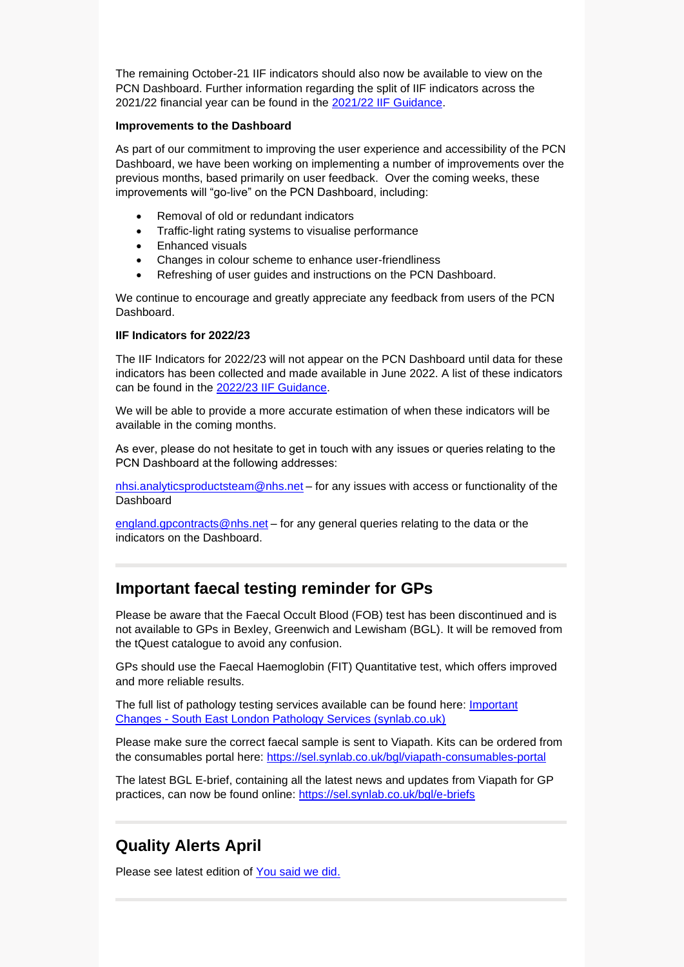The remaining October-21 IIF indicators should also now be available to view on the PCN Dashboard. Further information regarding the split of IIF indicators across the 2021/22 financial year can be found in the [2021/22 IIF Guidance.](https://www.england.nhs.uk/publication/investment-and-impact-fund-2021-22-implementation-guidance/)

#### **Improvements to the Dashboard**

As part of our commitment to improving the user experience and accessibility of the PCN Dashboard, we have been working on implementing a number of improvements over the previous months, based primarily on user feedback. Over the coming weeks, these improvements will "go-live" on the PCN Dashboard, including:

- Removal of old or redundant indicators
- Traffic-light rating systems to visualise performance
- Enhanced visuals
- Changes in colour scheme to enhance user-friendliness
- Refreshing of user guides and instructions on the PCN Dashboard.

We continue to encourage and greatly appreciate any feedback from users of the PCN Dashboard.

#### **IIF Indicators for 2022/23**

The IIF Indicators for 2022/23 will not appear on the PCN Dashboard until data for these indicators has been collected and made available in June 2022. A list of these indicators can be found in the [2022/23 IIF Guidance.](https://www.england.nhs.uk/wp-content/uploads/2022/03/B1357-investment-and-impact-fund-2022-23-updated-guidance-march-2022.pdf)

We will be able to provide a more accurate estimation of when these indicators will be available in the coming months.

As ever, please do not hesitate to get in touch with any issues or queries relating to the PCN Dashboard at the following addresses:

[nhsi.analyticsproductsteam@nhs.net](mailto:nhsi.analyticsproductsteam@nhs.net) - for any issues with access or functionality of the **Dashboard** 

[england.gpcontracts@nhs.net](mailto:england.gpcontracts@nhs.net) – for any general queries relating to the data or the indicators on the Dashboard.

### **Important faecal testing reminder for GPs**

Please be aware that the Faecal Occult Blood (FOB) test has been discontinued and is not available to GPs in Bexley, Greenwich and Lewisham (BGL). It will be removed from the tQuest catalogue to avoid any confusion.

GPs should use the Faecal Haemoglobin (FIT) Quantitative test, which offers improved and more reliable results.

The full list of pathology testing services available can be found here: [Important](https://sel.synlab.co.uk/bgl/important-changes/#test)  Changes - [South East London Pathology Services \(synlab.co.uk\)](https://sel.synlab.co.uk/bgl/important-changes/#test)

Please make sure the correct faecal sample is sent to Viapath. Kits can be ordered from the consumables portal here:<https://sel.synlab.co.uk/bgl/viapath-consumables-portal>

The latest BGL E-brief, containing all the latest news and updates from Viapath for GP practices, can now be found online:<https://sel.synlab.co.uk/bgl/e-briefs>

### **Quality Alerts April**

Please see latest edition of [You said we did.](https://selondonccg.nhs.uk/wp-content/uploads/2022/04/Lessons-Learnt-Quality-You-said-we-did-April-22-Edition.pdf)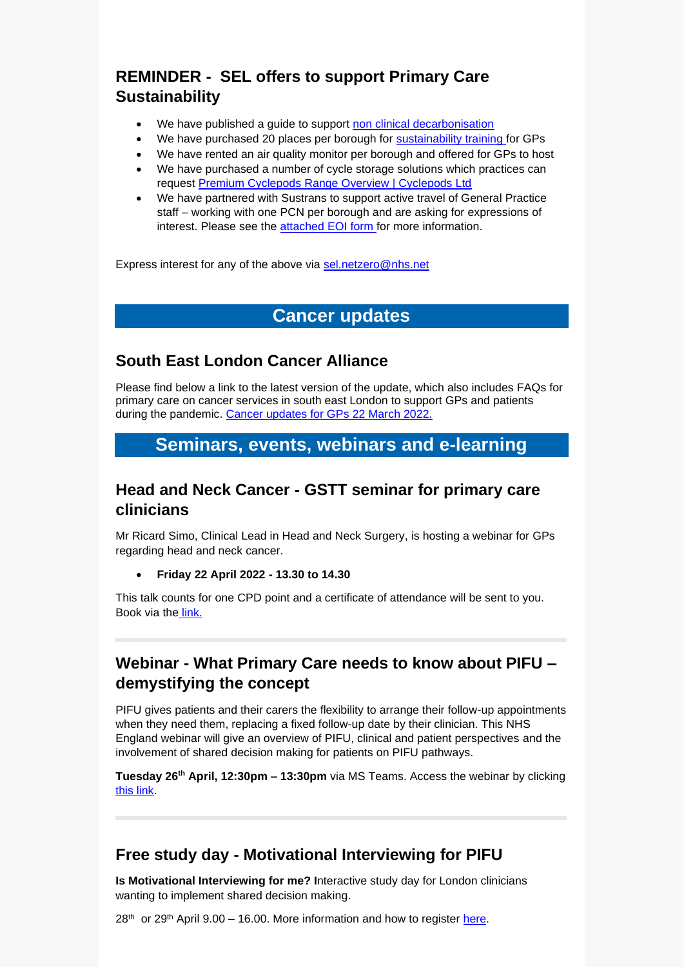# **REMINDER - SEL offers to support Primary Care Sustainability**

- We have published a guide to support [non clinical decarbonisation](https://selondonccg.nhs.uk/wp-content/uploads/2022/03/SEL-ICS-Decarbonising-primary-care-guide.pdf)
- We have purchased 20 places per borough for [sustainability training f](https://sustainablehealthcare.org.uk/courses/introduction-sustainable-healthcare)or GPs
- We have rented an air quality monitor per borough and offered for GPs to host
- We have purchased a number of cycle storage solutions which practices can request [Premium Cyclepods](https://www.cyclepods.co.uk/pod-range/) [Range Overview | Cyclepods](https://www.cyclepods.co.uk/pod-range/) [Ltd](https://www.cyclepods.co.uk/pod-range/)
- We have partnered with Sustrans to support active travel of General Practice staff – working with one PCN per borough and are asking for expressions of interest. Please see the [attached EOI form f](https://selondonccg.nhs.uk/wp-content/uploads/2022/04/Active-Travel-EOI-for-Sustrans-Work-FINAL.docx)or more information.

Express interest for any of the above via [sel.netzero@nhs.net](mailto:sel.netzero@nhs.net)

### **Cancer updates**

### **South East London Cancer Alliance**

Please find below a link to the latest version of the update, which also includes FAQs for primary care on cancer services in south east London to support GPs and patients during the pandemic. [Cancer updates for GPs 22](https://selondonccg.nhs.uk/wp-content/uploads/2022/03/SEL-Cancer-Updates-FAQs-for-Primary-Care-23-Mar-2022.pdf) March 2022.

### **Seminars, events, webinars and e-learning**

### **Head and Neck Cancer - GSTT seminar for primary care clinicians**

Mr Ricard Simo, Clinical Lead in Head and Neck Surgery, is hosting a webinar for GPs regarding head and neck cancer.

• **Friday 22 April 2022 - 13.30 to 14.30**

This talk counts for one CPD point and a certificate of attendance will be sent to you. Book via the [link.](https://www.eventbrite.co.uk/e/head-and-neck-cancer-seminar-for-primary-care-clinicians-tickets-297940938367)

### **Webinar - What Primary Care needs to know about PIFU – demystifying the concept**

PIFU gives patients and their carers the flexibility to arrange their follow-up appointments when they need them, replacing a fixed follow-up date by their clinician. This NHS England webinar will give an overview of PIFU, clinical and patient perspectives and the involvement of shared decision making for patients on PIFU pathways.

**Tuesday 26th April, 12:30pm – 13:30pm** via MS Teams. Access the webinar by clicking [this link.](https://teams.microsoft.com/dl/launcher/launcher.html?url=%2F_%23%2Fl%2Fmeetup-join%2F19%3Ameeting_YzliOTNjNzctODdjZi00ZTYwLTgwZGYtNThkOTljMDBmNjE0%40thread.v2%2F0%3Fcontext%3D%257b%2522Tid%2522%253a%252203159e92-72c6-4b23-a64a-af50e790adbf%2522%252c%2522Oid%2522%253a%25226cb031a5-a987-4901-bff8-79574d5911e0%2522%257d%26anon%3Dtrue&type=meetup-join&deeplinkId=f90e0ad2-52aa-4a25-9dc4-24910516fca2&directDl=true&msLaunch=true&enableMobilePage=true&suppressPrompt=true)

### **Free study day - Motivational Interviewing for PIFU**

**Is Motivational Interviewing for me? I**nteractive study day for London clinicians wanting to implement shared decision making.

 $28<sup>th</sup>$  or  $29<sup>th</sup>$  April  $9.00 - 16.00$ . More information and how to register [here.](https://selondonccg.nhs.uk/wp-content/uploads/2022/04/EtAL-SDM-Flyer-28-29-April.pdf)